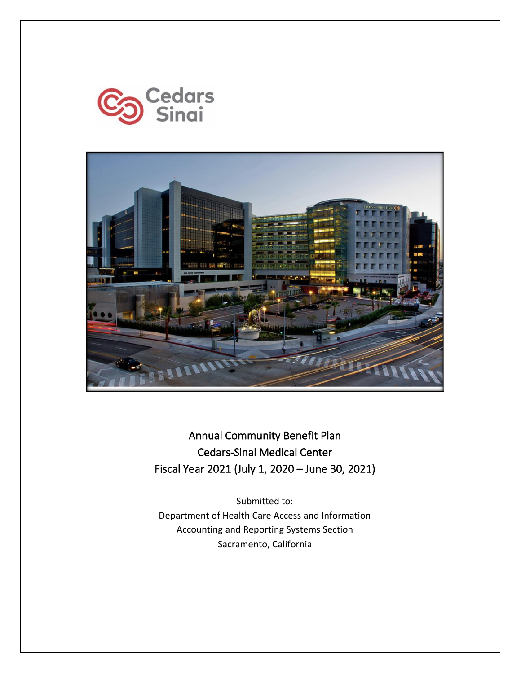



Annual Community Benefit Plan Cedars-Sinai Medical Center Fiscal Year 2021 (July 1, 2020 – June 30, 2021)

Submitted to: Department of Health Care Access and Information Accounting and Reporting Systems Section Sacramento, California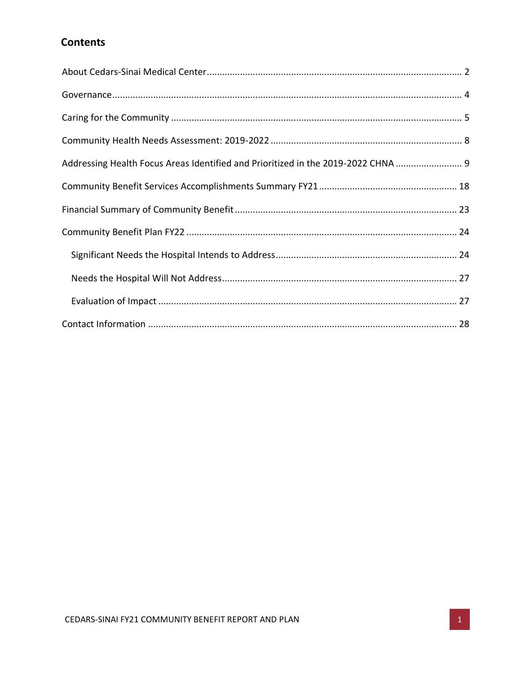# **Contents**

| Addressing Health Focus Areas Identified and Prioritized in the 2019-2022 CHNA  9 |  |
|-----------------------------------------------------------------------------------|--|
|                                                                                   |  |
|                                                                                   |  |
|                                                                                   |  |
|                                                                                   |  |
|                                                                                   |  |
|                                                                                   |  |
|                                                                                   |  |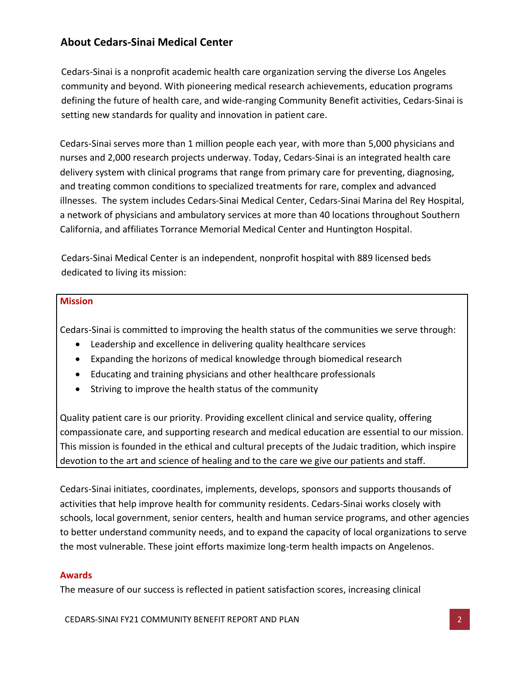# <span id="page-2-0"></span>**About Cedars-Sinai Medical Center**

Cedars-Sinai is a nonprofit academic health care organization serving the diverse Los Angeles community and beyond. With pioneering medical research achievements, education programs defining the future of health care, and wide-ranging Community Benefit activities, Cedars-Sinai is setting new standards for quality and innovation in patient care.

Cedars-Sinai serves more than 1 million people each year, with more than 5,000 physicians and nurses and 2,000 research projects underway. Today, Cedars-Sinai is an integrated health care delivery system with clinical programs that range from primary care for preventing, diagnosing, and treating common conditions to specialized treatments for rare, complex and advanced illnesses. The system includes Cedars-Sinai Medical Center, Cedars-Sinai Marina del Rey Hospital, a network of physicians and ambulatory services at more than 40 locations throughout Southern California, and affiliates Torrance Memorial Medical Center and Huntington Hospital.

Cedars-Sinai Medical Center is an independent, nonprofit hospital with 889 licensed beds dedicated to living its mission:

### **Mission**

Cedars-Sinai is committed to improving the health status of the communities we serve through:

- Leadership and excellence in delivering quality healthcare services
- Expanding the horizons of medical knowledge through biomedical research
- Educating and training physicians and other healthcare professionals
- Striving to improve the health status of the community

Quality patient care is our priority. Providing excellent clinical and service quality, offering compassionate care, and supporting research and medical education are essential to our mission. This mission is founded in the ethical and cultural precepts of the Judaic tradition, which inspire devotion to the art and science of healing and to the care we give our patients and staff.

Cedars-Sinai initiates, coordinates, implements, develops, sponsors and supports thousands of activities that help improve health for community residents. Cedars-Sinai works closely with schools, local government, senior centers, health and human service programs, and other agencies to better understand community needs, and to expand the capacity of local organizations to serve the most vulnerable. These joint efforts maximize long-term health impacts on Angelenos.

#### **Awards**

The measure of our success is reflected in patient satisfaction scores, increasing clinical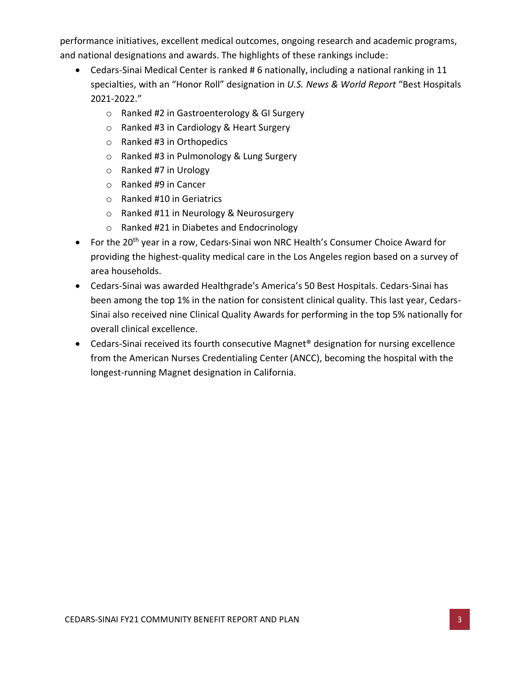performance initiatives, excellent medical outcomes, ongoing research and academic programs, and national designations and awards. The highlights of these rankings include:

- Cedars-Sinai Medical Center is ranked # 6 nationally, including a national ranking in 11 specialties, with an "Honor Roll" designation in *U.S. News & World Report* "Best Hospitals 2021-2022."
	- o Ranked #2 in Gastroenterology & GI Surgery
	- o Ranked #3 in Cardiology & Heart Surgery
	- o Ranked #3 in Orthopedics
	- o Ranked #3 in Pulmonology & Lung Surgery
	- o Ranked #7 in Urology
	- o Ranked #9 in Cancer
	- o Ranked #10 in Geriatrics
	- o Ranked #11 in Neurology & Neurosurgery
	- o Ranked #21 in Diabetes and Endocrinology
- For the 20<sup>th</sup> year in a row, Cedars-Sinai won NRC Health's Consumer Choice Award for providing the highest-quality medical care in the Los Angeles region based on a survey of area households.
- Cedars-Sinai was awarded Healthgrade's America's 50 Best Hospitals. Cedars-Sinai has been among the top 1% in the nation for consistent clinical quality. This last year, Cedars-Sinai also received nine Clinical Quality Awards for performing in the top 5% nationally for overall clinical excellence.
- Cedars-Sinai received its fourth consecutive Magnet<sup>®</sup> designation for nursing excellence from the American Nurses Credentialing Center (ANCC), becoming the hospital with the longest-running Magnet designation in California.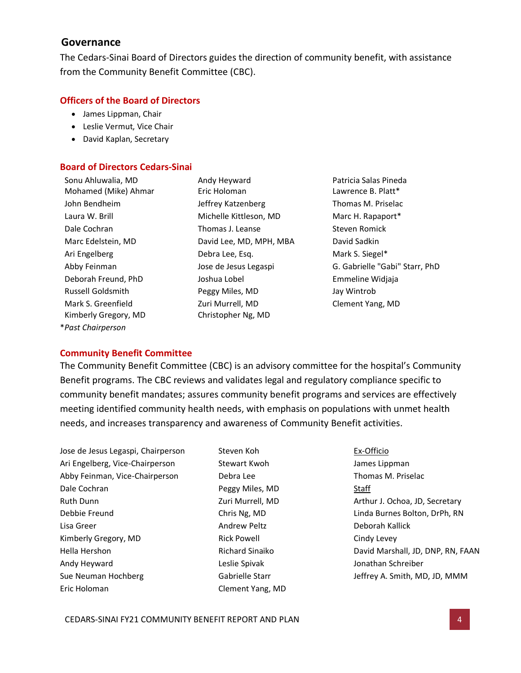## <span id="page-4-0"></span>**Governance**

The Cedars-Sinai Board of Directors guides the direction of community benefit, with assistance from the Community Benefit Committee (CBC).

### **Officers of the Board of Directors**

- James Lippman, Chair
- Leslie Vermut, Vice Chair
- David Kaplan, Secretary

#### **Board of Directors Cedars-Sinai**

Mohamed (Mike) Ahmar Eric Holoman Lawrence B. Platt\* John Bendheim Jeffrey Katzenberg Thomas M. Priselac Laura W. Brill **Michelle Kittleson, MD** Marc H. Rapaport<sup>\*</sup> Dale Cochran Thomas J. Leanse Steven Romick Marc Edelstein, MD David Lee, MD, MPH, MBA David Sadkin Ari Engelberg **Debra Lee, Esq.** Mark S. Siegel\* Deborah Freund, PhD Joshua Lobel Emmeline Widjaja Russell Goldsmith Peggy Miles, MD Jay Wintrob Mark S. Greenfield Zuri Murrell, MD Clement Yang, MD Kimberly Gregory, MD Christopher Ng, MD \**Past Chairperson*

Sonu Ahluwalia, MD **Andy Heyward** Patricia Salas Pineda Abby Feinman Jose de Jesus Legaspi G. Gabrielle "Gabi" Starr, PhD

#### **Community Benefit Committee**

The Community Benefit Committee (CBC) is an advisory committee for the hospital's Community Benefit programs. The CBC reviews and validates legal and regulatory compliance specific to community benefit mandates; assures community benefit programs and services are effectively meeting identified community health needs, with emphasis on populations with unmet health needs, and increases transparency and awareness of Community Benefit activities.

Jose de Jesus Legaspi, Chairperson Ari Engelberg, Vice-Chairperson Abby Feinman, Vice-Chairperson Dale Cochran Ruth Dunn Debbie Freund Lisa Greer Kimberly Gregory, MD Hella Hershon Andy Heyward Sue Neuman Hochberg Eric Holoman

Steven Koh Stewart Kwoh Debra Lee Peggy Miles, MD Zuri Murrell, MD Chris Ng, MD Andrew Peltz Rick Powell Richard Sinaiko Leslie Spivak Gabrielle Starr Clement Yang, MD Ex-Officio James Lippman Thomas M. Priselac **Staff** Arthur J. Ochoa, JD, Secretary Linda Burnes Bolton, DrPh, RN Deborah Kallick Cindy Levey David Marshall, JD, DNP, RN, FAAN Jonathan Schreiber Jeffrey A. Smith, MD, JD, MMM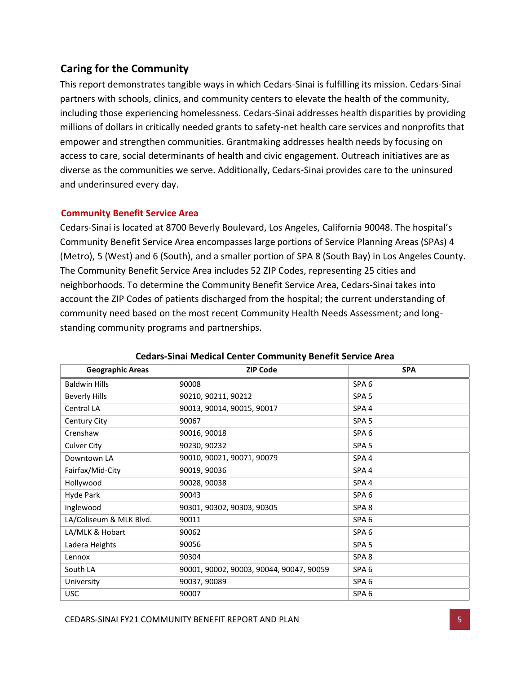# <span id="page-5-0"></span>**Caring for the Community**

This report demonstrates tangible ways in which Cedars-Sinai is fulfilling its mission. Cedars-Sinai partners with schools, clinics, and community centers to elevate the health of the community, including those experiencing homelessness. Cedars-Sinai addresses health disparities by providing millions of dollars in critically needed grants to safety-net health care services and nonprofits that empower and strengthen communities. Grantmaking addresses health needs by focusing on access to care, social determinants of health and civic engagement. Outreach initiatives are as diverse as the communities we serve. Additionally, Cedars-Sinai provides care to the uninsured and underinsured every day.

## **Community Benefit Service Area**

Cedars-Sinai is located at 8700 Beverly Boulevard, Los Angeles, California 90048. The hospital's Community Benefit Service Area encompasses large portions of Service Planning Areas (SPAs) 4 (Metro), 5 (West) and 6 (South), and a smaller portion of SPA 8 (South Bay) in Los Angeles County. The Community Benefit Service Area includes 52 ZIP Codes, representing 25 cities and neighborhoods. To determine the Community Benefit Service Area, Cedars-Sinai takes into account the ZIP Codes of patients discharged from the hospital; the current understanding of community need based on the most recent Community Health Needs Assessment; and longstanding community programs and partnerships.

| <b>Geographic Areas</b> | <b>ZIP Code</b>                          | <b>SPA</b>       |
|-------------------------|------------------------------------------|------------------|
| <b>Baldwin Hills</b>    | 90008                                    | SPA <sub>6</sub> |
| <b>Beverly Hills</b>    | 90210, 90211, 90212                      | SPA <sub>5</sub> |
| Central LA              | 90013, 90014, 90015, 90017               | SPA4             |
| Century City            | 90067                                    | SPA <sub>5</sub> |
| Crenshaw                | 90016, 90018                             | SPA <sub>6</sub> |
| Culver City             | 90230, 90232                             | SPA <sub>5</sub> |
| Downtown LA             | 90010, 90021, 90071, 90079               | SPA <sub>4</sub> |
| Fairfax/Mid-City        | 90019, 90036                             | SPA <sub>4</sub> |
| Hollywood               | 90028, 90038                             | SPA4             |
| Hyde Park               | 90043                                    | SPA <sub>6</sub> |
| Inglewood               | 90301, 90302, 90303, 90305               | SPA <sub>8</sub> |
| LA/Coliseum & MLK Blvd. | 90011                                    | SPA <sub>6</sub> |
| LA/MLK & Hobart         | 90062                                    | SPA <sub>6</sub> |
| Ladera Heights          | 90056                                    | SPA <sub>5</sub> |
| Lennox                  | 90304                                    | SPA <sub>8</sub> |
| South LA                | 90001, 90002, 90003, 90044, 90047, 90059 | SPA <sub>6</sub> |
| University              | 90037, 90089                             | SPA <sub>6</sub> |
| <b>USC</b>              | 90007                                    | SPA <sub>6</sub> |

### **Cedars-Sinai Medical Center Community Benefit Service Area**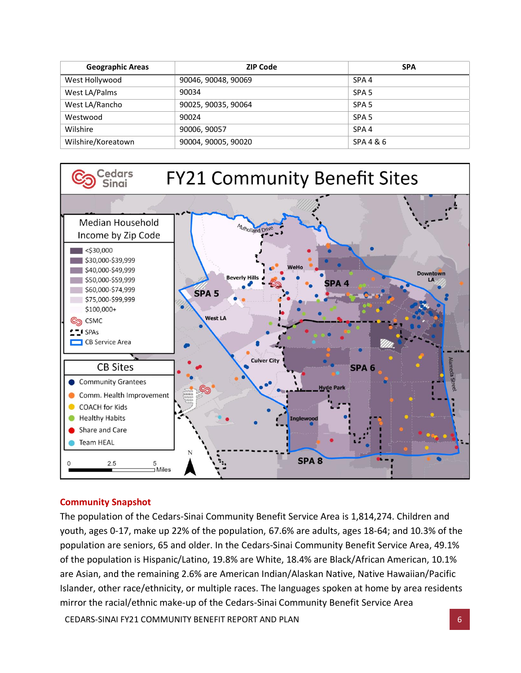| <b>Geographic Areas</b> | <b>ZIP Code</b>     | <b>SPA</b>       |
|-------------------------|---------------------|------------------|
| West Hollywood          | 90046, 90048, 90069 | SPA <sub>4</sub> |
| West LA/Palms           | 90034               | SPA <sub>5</sub> |
| West LA/Rancho          | 90025, 90035, 90064 | SPA <sub>5</sub> |
| Westwood                | 90024               | SPA <sub>5</sub> |
| Wilshire                | 90006, 90057        | SPA <sub>4</sub> |
| Wilshire/Koreatown      | 90004, 90005, 90020 | SPA 4 & 6        |



# **Community Snapshot**

The population of the Cedars-Sinai Community Benefit Service Area is 1,814,274. Children and youth, ages 0-17, make up 22% of the population, 67.6% are adults, ages 18-64; and 10.3% of the population are seniors, 65 and older. In the Cedars-Sinai Community Benefit Service Area, 49.1% of the population is Hispanic/Latino, 19.8% are White, 18.4% are Black/African American, 10.1% are Asian, and the remaining 2.6% are American Indian/Alaskan Native, Native Hawaiian/Pacific Islander, other race/ethnicity, or multiple races. The languages spoken at home by area residents mirror the racial/ethnic make-up of the Cedars-Sinai Community Benefit Service Area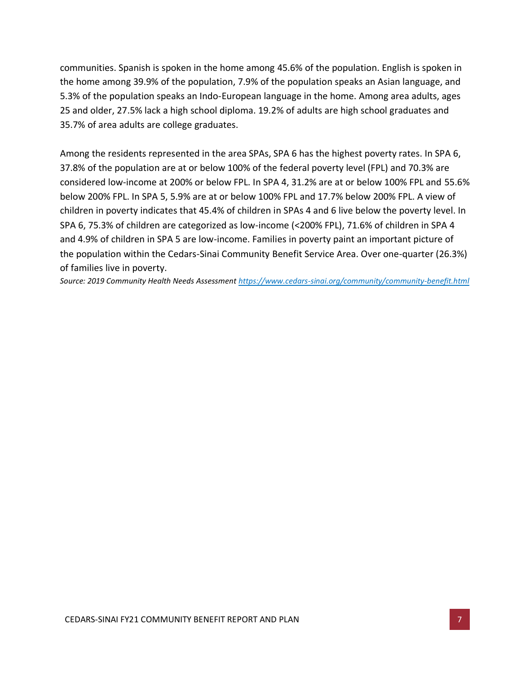communities. Spanish is spoken in the home among 45.6% of the population. English is spoken in the home among 39.9% of the population, 7.9% of the population speaks an Asian language, and 5.3% of the population speaks an Indo-European language in the home. Among area adults, ages 25 and older, 27.5% lack a high school diploma. 19.2% of adults are high school graduates and 35.7% of area adults are college graduates.

Among the residents represented in the area SPAs, SPA 6 has the highest poverty rates. In SPA 6, 37.8% of the population are at or below 100% of the federal poverty level (FPL) and 70.3% are considered low-income at 200% or below FPL. In SPA 4, 31.2% are at or below 100% FPL and 55.6% below 200% FPL. In SPA 5, 5.9% are at or below 100% FPL and 17.7% below 200% FPL. A view of children in poverty indicates that 45.4% of children in SPAs 4 and 6 live below the poverty level. In SPA 6, 75.3% of children are categorized as low-income (<200% FPL), 71.6% of children in SPA 4 and 4.9% of children in SPA 5 are low-income. Families in poverty paint an important picture of the population within the Cedars-Sinai Community Benefit Service Area. Over one-quarter (26.3%) of families live in poverty.

*Source: 2019 Community Health Needs Assessment<https://www.cedars-sinai.org/community/community-benefit.html>*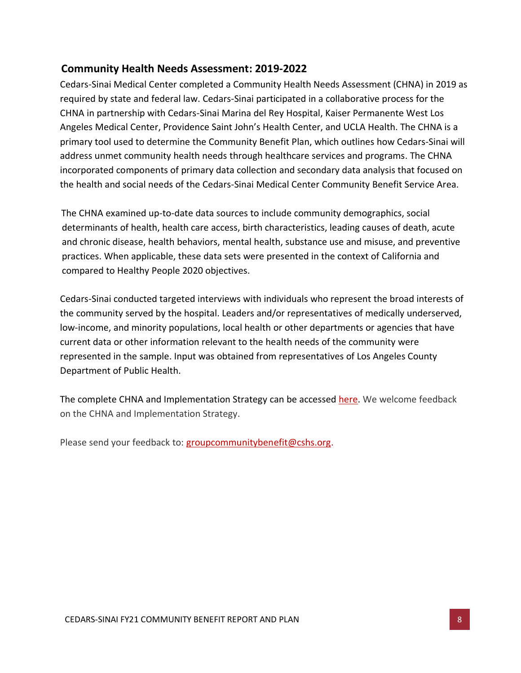# <span id="page-8-0"></span>**Community Health Needs Assessment: 2019-2022**

Cedars-Sinai Medical Center completed a Community Health Needs Assessment (CHNA) in 2019 as required by state and federal law. Cedars-Sinai participated in a collaborative process for the CHNA in partnership with Cedars-Sinai Marina del Rey Hospital, Kaiser Permanente West Los Angeles Medical Center, Providence Saint John's Health Center, and UCLA Health. The CHNA is a primary tool used to determine the Community Benefit Plan, which outlines how Cedars-Sinai will address unmet community health needs through healthcare services and programs. The CHNA incorporated components of primary data collection and secondary data analysis that focused on the health and social needs of the Cedars-Sinai Medical Center Community Benefit Service Area.

The CHNA examined up-to-date data sources to include community demographics, social determinants of health, health care access, birth characteristics, leading causes of death, acute and chronic disease, health behaviors, mental health, substance use and misuse, and preventive practices. When applicable, these data sets were presented in the context of California and compared to Healthy People 2020 objectives.

Cedars-Sinai conducted targeted interviews with individuals who represent the broad interests of the community served by the hospital. Leaders and/or representatives of medically underserved, low-income, and minority populations, local health or other departments or agencies that have current data or other information relevant to the health needs of the community were represented in the sample. Input was obtained from representatives of Los Angeles County Department of Public Health.

The complete CHNA and Implementation Strategy can be accessed [here.](https://www.cedars-sinai.org/content/dam/cedars-sinai/community-benefits/documents/Community_Health_Needs_Assessment_2019.pdf) We welcome feedback on the CHNA and Implementation Strategy.

Please send your feedback to: [groupcommunitybenefit@cshs.org.](mailto:groupcommunitybenefit@cshs.org)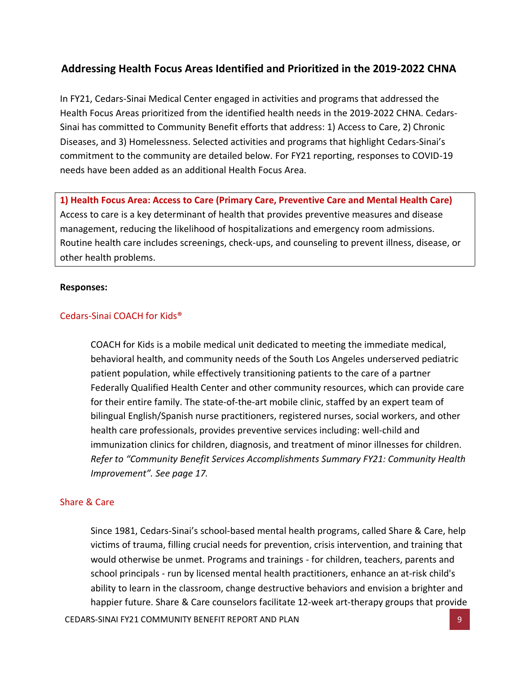# <span id="page-9-0"></span>**Addressing Health Focus Areas Identified and Prioritized in the 2019-2022 CHNA**

In FY21, Cedars-Sinai Medical Center engaged in activities and programs that addressed the Health Focus Areas prioritized from the identified health needs in the 2019-2022 CHNA. Cedars-Sinai has committed to Community Benefit efforts that address: 1) Access to Care, 2) Chronic Diseases, and 3) Homelessness. Selected activities and programs that highlight Cedars-Sinai's commitment to the community are detailed below. For FY21 reporting, responses to COVID-19 needs have been added as an additional Health Focus Area.

**1) Health Focus Area: Access to Care (Primary Care, Preventive Care and Mental Health Care)** Access to care is a key determinant of health that provides preventive measures and disease management, reducing the likelihood of hospitalizations and emergency room admissions. Routine health care includes screenings, check-ups, and counseling to prevent illness, disease, or other health problems.

#### **Responses:**

#### Cedars-Sinai COACH for Kids®

COACH for Kids is a mobile medical unit dedicated to meeting the immediate medical, behavioral health, and community needs of the South Los Angeles underserved pediatric patient population, while effectively transitioning patients to the care of a partner Federally Qualified Health Center and other community resources, which can provide care for their entire family. The state-of-the-art mobile clinic, staffed by an expert team of bilingual English/Spanish nurse practitioners, registered nurses, social workers, and other health care professionals, provides preventive services including: well-child and immunization clinics for children, diagnosis, and treatment of minor illnesses for children. *Refer to "Community Benefit Services Accomplishments Summary FY21: Community Health Improvement". See page 17.*

### Share & Care

Since 1981, Cedars-Sinai's school-based mental health programs, called Share & Care, help victims of trauma, filling crucial needs for prevention, crisis intervention, and training that would otherwise be unmet. Programs and trainings - for children, teachers, parents and school principals - run by licensed mental health practitioners, enhance an at-risk child's ability to learn in the classroom, change destructive behaviors and envision a brighter and happier future. Share & Care counselors facilitate 12-week art-therapy groups that provide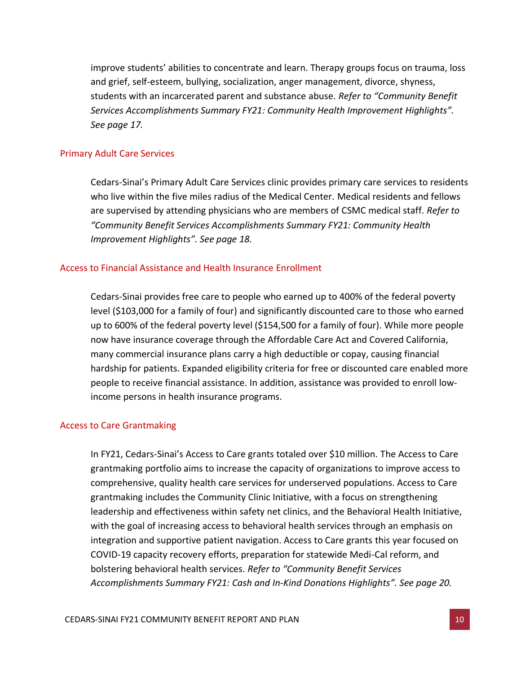improve students' abilities to concentrate and learn. Therapy groups focus on trauma, loss and grief, self-esteem, bullying, socialization, anger management, divorce, shyness, students with an incarcerated parent and substance abuse. *Refer to "Community Benefit Services Accomplishments Summary FY21: Community Health Improvement Highlights". See page 17.*

#### Primary Adult Care Services

Cedars-Sinai's Primary Adult Care Services clinic provides primary care services to residents who live within the five miles radius of the Medical Center. Medical residents and fellows are supervised by attending physicians who are members of CSMC medical staff. *Refer to "Community Benefit Services Accomplishments Summary FY21: Community Health Improvement Highlights". See page 18.*

#### Access to Financial Assistance and Health Insurance Enrollment

Cedars-Sinai provides free care to people who earned up to 400% of the federal poverty level (\$103,000 for a family of four) and significantly discounted care to those who earned up to 600% of the federal poverty level (\$154,500 for a family of four). While more people now have insurance coverage through the Affordable Care Act and Covered California, many commercial insurance plans carry a high deductible or copay, causing financial hardship for patients. Expanded eligibility criteria for free or discounted care enabled more people to receive financial assistance. In addition, assistance was provided to enroll lowincome persons in health insurance programs.

### Access to Care Grantmaking

In FY21, Cedars-Sinai's Access to Care grants totaled over \$10 million. The Access to Care grantmaking portfolio aims to increase the capacity of organizations to improve access to comprehensive, quality health care services for underserved populations. Access to Care grantmaking includes the Community Clinic Initiative, with a focus on strengthening leadership and effectiveness within safety net clinics, and the Behavioral Health Initiative, with the goal of increasing access to behavioral health services through an emphasis on integration and supportive patient navigation. Access to Care grants this year focused on COVID-19 capacity recovery efforts, preparation for statewide Medi-Cal reform, and bolstering behavioral health services. *Refer to "Community Benefit Services Accomplishments Summary FY21: Cash and In-Kind Donations Highlights". See page 20.*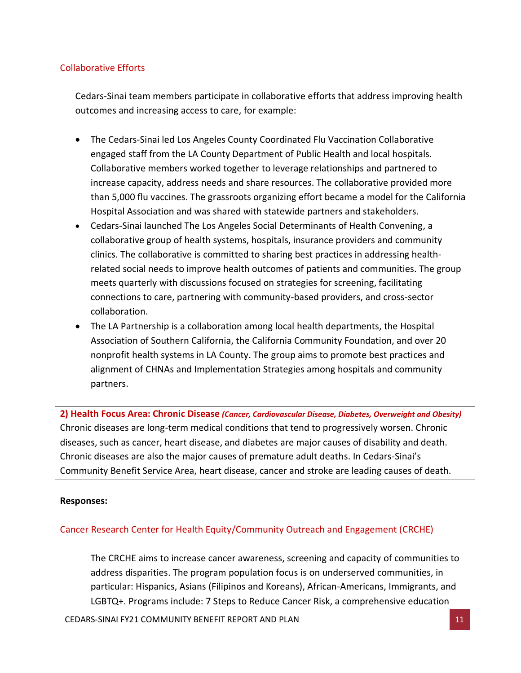## Collaborative Efforts

Cedars-Sinai team members participate in collaborative efforts that address improving health outcomes and increasing access to care, for example:

- The Cedars-Sinai led Los Angeles County Coordinated Flu Vaccination Collaborative engaged staff from the LA County Department of Public Health and local hospitals. Collaborative members worked together to leverage relationships and partnered to increase capacity, address needs and share resources. The collaborative provided more than 5,000 flu vaccines. The grassroots organizing effort became a model for the California Hospital Association and was shared with statewide partners and stakeholders.
- Cedars-Sinai launched The Los Angeles Social Determinants of Health Convening, a collaborative group of health systems, hospitals, insurance providers and community clinics. The collaborative is committed to sharing best practices in addressing healthrelated social needs to improve health outcomes of patients and communities. The group meets quarterly with discussions focused on strategies for screening, facilitating connections to care, partnering with community-based providers, and cross-sector collaboration.
- The LA Partnership is a collaboration among local health departments, the Hospital Association of Southern California, the California Community Foundation, and over 20 nonprofit health systems in LA County. The group aims to promote best practices and alignment of CHNAs and Implementation Strategies among hospitals and community partners.

**2) Health Focus Area: Chronic Disease** *(Cancer, Cardiovascular Disease, Diabetes, Overweight and Obesity)* Chronic diseases are long-term medical conditions that tend to progressively worsen. Chronic diseases, such as cancer, heart disease, and diabetes are major causes of disability and death. Chronic diseases are also the major causes of premature adult deaths. In Cedars-Sinai's Community Benefit Service Area, heart disease, cancer and stroke are leading causes of death.

#### **Responses:**

### Cancer Research Center for Health Equity/Community Outreach and Engagement (CRCHE)

The CRCHE aims to increase cancer awareness, screening and capacity of communities to address disparities. The program population focus is on underserved communities, in particular: Hispanics, Asians (Filipinos and Koreans), African-Americans, Immigrants, and LGBTQ+. Programs include: 7 Steps to Reduce Cancer Risk, a comprehensive education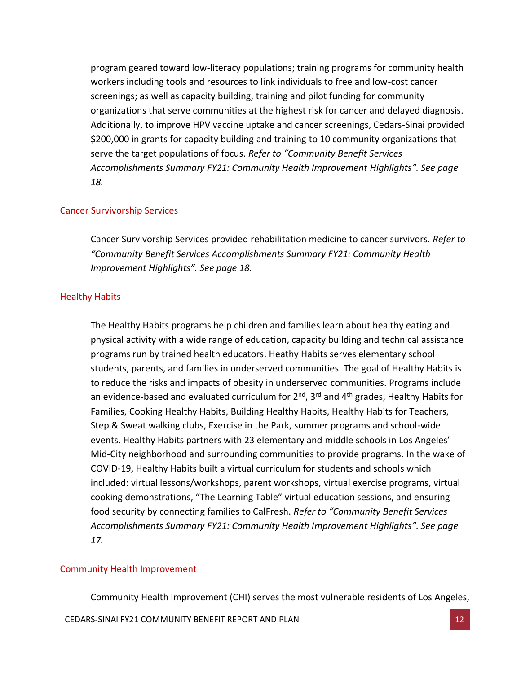program geared toward low-literacy populations; training programs for community health workers including tools and resources to link individuals to free and low-cost cancer screenings; as well as capacity building, training and pilot funding for community organizations that serve communities at the highest risk for cancer and delayed diagnosis. Additionally, to improve HPV vaccine uptake and cancer screenings, Cedars-Sinai provided \$200,000 in grants for capacity building and training to 10 community organizations that serve the target populations of focus. *Refer to "Community Benefit Services Accomplishments Summary FY21: Community Health Improvement Highlights". See page 18.*

#### Cancer Survivorship Services

Cancer Survivorship Services provided rehabilitation medicine to cancer survivors. *Refer to "Community Benefit Services Accomplishments Summary FY21: Community Health Improvement Highlights". See page 18.*

#### Healthy Habits

The Healthy Habits programs help children and families learn about healthy eating and physical activity with a wide range of education, capacity building and technical assistance programs run by trained health educators. Heathy Habits serves elementary school students, parents, and families in underserved communities. The goal of Healthy Habits is to reduce the risks and impacts of obesity in underserved communities. Programs include an evidence-based and evaluated curriculum for 2<sup>nd</sup>, 3<sup>rd</sup> and 4<sup>th</sup> grades, Healthy Habits for Families, Cooking Healthy Habits, Building Healthy Habits, Healthy Habits for Teachers, Step & Sweat walking clubs, Exercise in the Park, summer programs and school-wide events. Healthy Habits partners with 23 elementary and middle schools in Los Angeles' Mid-City neighborhood and surrounding communities to provide programs. In the wake of COVID-19, Healthy Habits built a virtual curriculum for students and schools which included: virtual lessons/workshops, parent workshops, virtual exercise programs, virtual cooking demonstrations, "The Learning Table" virtual education sessions, and ensuring food security by connecting families to CalFresh. *Refer to "Community Benefit Services Accomplishments Summary FY21: Community Health Improvement Highlights". See page 17.*

#### Community Health Improvement

Community Health Improvement (CHI) serves the most vulnerable residents of Los Angeles,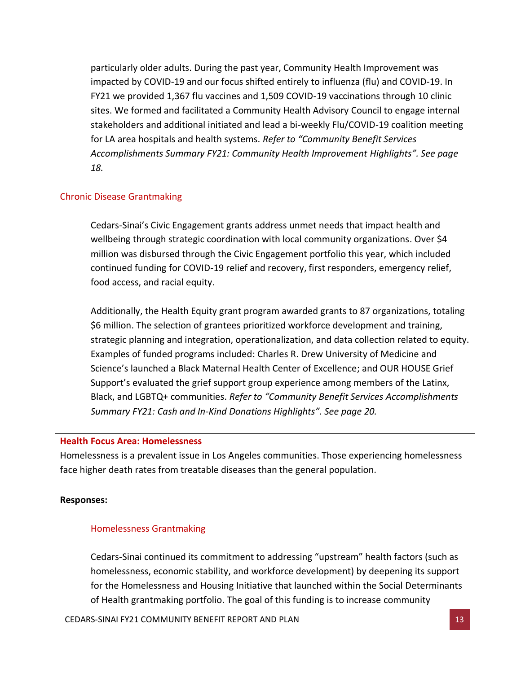particularly older adults. During the past year, Community Health Improvement was impacted by COVID-19 and our focus shifted entirely to influenza (flu) and COVID-19. In FY21 we provided 1,367 flu vaccines and 1,509 COVID-19 vaccinations through 10 clinic sites. We formed and facilitated a Community Health Advisory Council to engage internal stakeholders and additional initiated and lead a bi-weekly Flu/COVID-19 coalition meeting for LA area hospitals and health systems. *Refer to "Community Benefit Services Accomplishments Summary FY21: Community Health Improvement Highlights". See page 18.*

### Chronic Disease Grantmaking

Cedars-Sinai's Civic Engagement grants address unmet needs that impact health and wellbeing through strategic coordination with local community organizations. Over \$4 million was disbursed through the Civic Engagement portfolio this year, which included continued funding for COVID-19 relief and recovery, first responders, emergency relief, food access, and racial equity.

Additionally, the Health Equity grant program awarded grants to 87 organizations, totaling \$6 million. The selection of grantees prioritized workforce development and training, strategic planning and integration, operationalization, and data collection related to equity. Examples of funded programs included: Charles R. Drew University of Medicine and Science's launched a Black Maternal Health Center of Excellence; and OUR HOUSE Grief Support's evaluated the grief support group experience among members of the Latinx, Black, and LGBTQ+ communities. *Refer to "Community Benefit Services Accomplishments Summary FY21: Cash and In-Kind Donations Highlights". See page 20.*

#### **Health Focus Area: Homelessness**

Homelessness is a prevalent issue in Los Angeles communities. Those experiencing homelessness face higher death rates from treatable diseases than the general population.

#### **Responses:**

#### Homelessness Grantmaking

Cedars-Sinai continued its commitment to addressing "upstream" health factors (such as homelessness, economic stability, and workforce development) by deepening its support for the Homelessness and Housing Initiative that launched within the Social Determinants of Health grantmaking portfolio. The goal of this funding is to increase community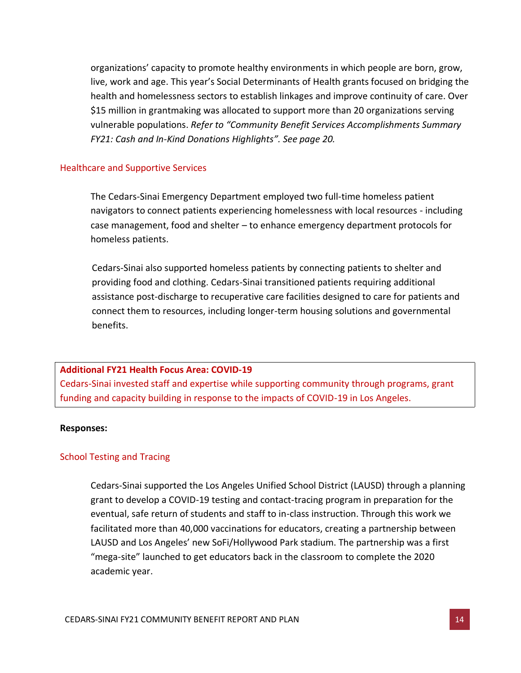organizations' capacity to promote healthy environments in which people are born, grow, live, work and age. This year's Social Determinants of Health grants focused on bridging the health and homelessness sectors to establish linkages and improve continuity of care. Over \$15 million in grantmaking was allocated to support more than 20 organizations serving vulnerable populations. *Refer to "Community Benefit Services Accomplishments Summary FY21: Cash and In-Kind Donations Highlights". See page 20.*

#### Healthcare and Supportive Services

The Cedars-Sinai Emergency Department employed two full-time homeless patient navigators to connect patients experiencing homelessness with local resources - including case management, food and shelter – to enhance emergency department protocols for homeless patients.

Cedars-Sinai also supported homeless patients by connecting patients to shelter and providing food and clothing. Cedars-Sinai transitioned patients requiring additional assistance post-discharge to recuperative care facilities designed to care for patients and connect them to resources, including longer-term housing solutions and governmental benefits.

#### **Additional FY21 Health Focus Area: COVID-19**

Cedars-Sinai invested staff and expertise while supporting community through programs, grant funding and capacity building in response to the impacts of COVID-19 in Los Angeles.

#### **Responses:**

### School Testing and Tracing

Cedars-Sinai supported the Los Angeles Unified School District (LAUSD) through a planning grant to develop a COVID-19 testing and contact-tracing program in preparation for the eventual, safe return of students and staff to in-class instruction. Through this work we facilitated more than 40,000 vaccinations for educators, creating a partnership between LAUSD and Los Angeles' new SoFi/Hollywood Park stadium. The partnership was a first "mega-site" launched to get educators back in the classroom to complete the 2020 academic year.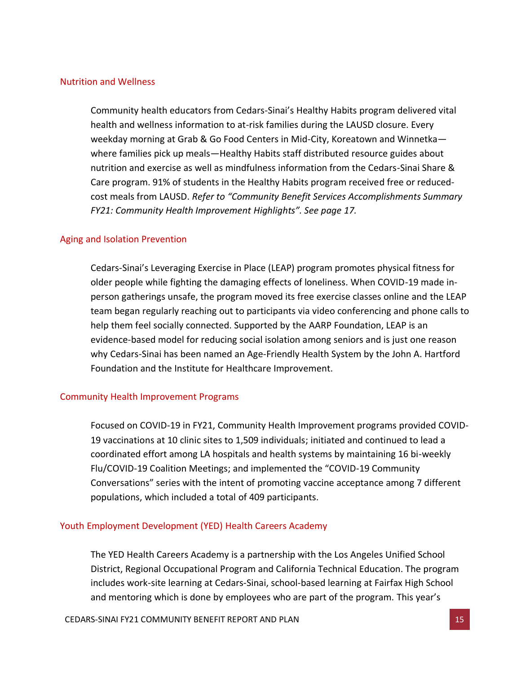#### Nutrition and Wellness

Community health educators from Cedars-Sinai's Healthy Habits program delivered vital health and wellness information to at-risk families during the LAUSD closure. Every weekday morning at Grab & Go Food Centers in Mid-City, Koreatown and Winnetka where families pick up meals—Healthy Habits staff distributed resource guides about nutrition and exercise as well as mindfulness information from the Cedars-Sinai Share & Care program. 91% of students in the Healthy Habits program received free or reducedcost meals from LAUSD. *Refer to "Community Benefit Services Accomplishments Summary FY21: Community Health Improvement Highlights". See page 17.*

#### Aging and Isolation Prevention

Cedars-Sinai's Leveraging Exercise in Place (LEAP) program promotes physical fitness for older people while fighting the damaging effects of loneliness. When COVID-19 made inperson gatherings unsafe, the program moved its free exercise classes online and the LEAP team began regularly reaching out to participants via video conferencing and phone calls to help them feel socially connected. Supported by the AARP Foundation, LEAP is an evidence-based model for reducing social isolation among seniors and is just one reason why Cedars-Sinai has been named an Age-Friendly Health System by the John A. Hartford Foundation and the Institute for Healthcare Improvement.

### Community Health Improvement Programs

Focused on COVID-19 in FY21, Community Health Improvement programs provided COVID-19 vaccinations at 10 clinic sites to 1,509 individuals; initiated and continued to lead a coordinated effort among LA hospitals and health systems by maintaining 16 bi-weekly Flu/COVID-19 Coalition Meetings; and implemented the "COVID-19 Community Conversations" series with the intent of promoting vaccine acceptance among 7 different populations, which included a total of 409 participants.

### Youth Employment Development (YED) Health Careers Academy

The YED Health Careers Academy is a partnership with the Los Angeles Unified School District, Regional Occupational Program and California Technical Education. The program includes work-site learning at Cedars-Sinai, school-based learning at Fairfax High School and mentoring which is done by employees who are part of the program. This year's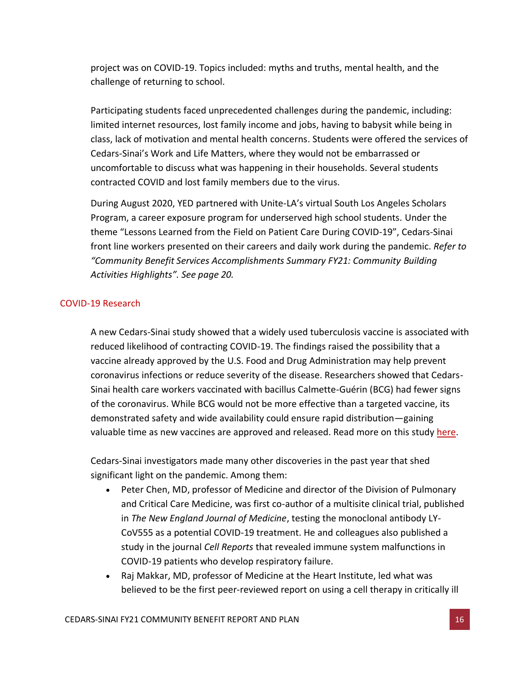project was on COVID-19. Topics included: myths and truths, mental health, and the challenge of returning to school.

Participating students faced unprecedented challenges during the pandemic, including: limited internet resources, lost family income and jobs, having to babysit while being in class, lack of motivation and mental health concerns. Students were offered the services of Cedars-Sinai's Work and Life Matters, where they would not be embarrassed or uncomfortable to discuss what was happening in their households. Several students contracted COVID and lost family members due to the virus.

During August 2020, YED partnered with Unite-LA's virtual South Los Angeles Scholars Program, a career exposure program for underserved high school students. Under the theme "Lessons Learned from the Field on Patient Care During COVID-19", Cedars-Sinai front line workers presented on their careers and daily work during the pandemic. *Refer to "Community Benefit Services Accomplishments Summary FY21: Community Building Activities Highlights". See page 20.*

### COVID-19 Research

A new Cedars-Sinai study showed that a widely used tuberculosis vaccine is associated with reduced likelihood of contracting COVID-19. The findings raised the possibility that a vaccine already approved by the U.S. Food and Drug Administration may help prevent coronavirus infections or reduce severity of the disease. Researchers showed that Cedars-Sinai health care workers vaccinated with bacillus Calmette-Guérin (BCG) had fewer signs of the coronavirus. While BCG would not be more effective than a targeted vaccine, its demonstrated safety and wide availability could ensure rapid distribution—gaining valuable time as new vaccines are approved and released. Read more on this study [here.](https://www.cedars-sinai.org/newsroom/study-tb-vaccine-linked-to-lower-risk-of-contracting-covid-19/)

Cedars-Sinai investigators made many other discoveries in the past year that shed significant light on the pandemic. Among them:

- Peter Chen, MD, professor of Medicine and director of the Division of Pulmonary and Critical Care Medicine, was first co-author of a multisite clinical trial, published in *The New England Journal of Medicine*, testing the monoclonal antibody LY-CoV555 as a potential COVID-19 treatment. He and colleagues also published a study in the journal *Cell Reports* that revealed immune system malfunctions in COVID-19 patients who develop respiratory failure.
- Raj Makkar, MD, professor of Medicine at the Heart Institute, led what was believed to be the first peer-reviewed report on using a cell therapy in critically ill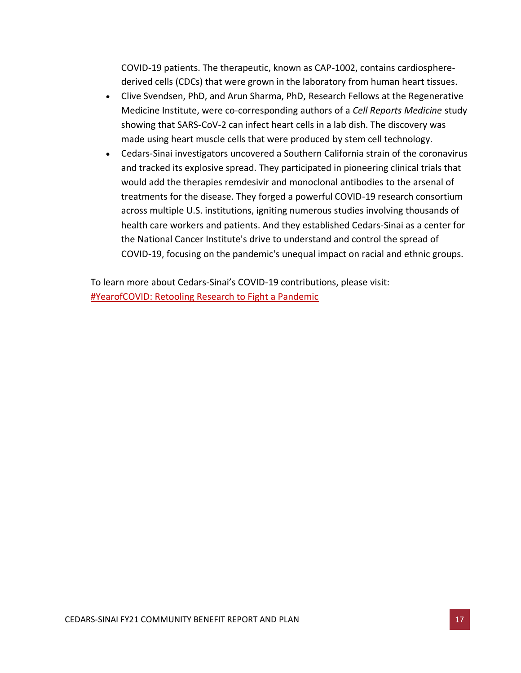COVID-19 patients. The therapeutic, known as CAP-1002, contains cardiospherederived cells (CDCs) that were grown in the laboratory from human heart tissues.

- Clive Svendsen, PhD, and Arun Sharma, PhD, Research Fellows at the Regenerative Medicine Institute, were co-corresponding authors of a *Cell Reports Medicine* study showing that SARS-CoV-2 can infect heart cells in a lab dish. The discovery was made using heart muscle cells that were produced by stem cell technology.
- Cedars-Sinai investigators uncovered a Southern California strain of the coronavirus and tracked its explosive spread. They participated in pioneering clinical trials that would add the therapies remdesivir and monoclonal antibodies to the arsenal of treatments for the disease. They forged a powerful COVID-19 research consortium across multiple U.S. institutions, igniting numerous studies involving thousands of health care workers and patients. And they established Cedars-Sinai as a center for the National Cancer Institute's drive to understand and control the spread of COVID-19, focusing on the pandemic's unequal impact on racial and ethnic groups.

To learn more about Cedars-Sinai's COVID-19 contributions, please visit: [#YearofCOVID: Retooling Research to Fight a Pandemic](https://www.cedars-sinai.org/newsroom/yearofcovid-retooling-research-to-fight-a-pandemic/)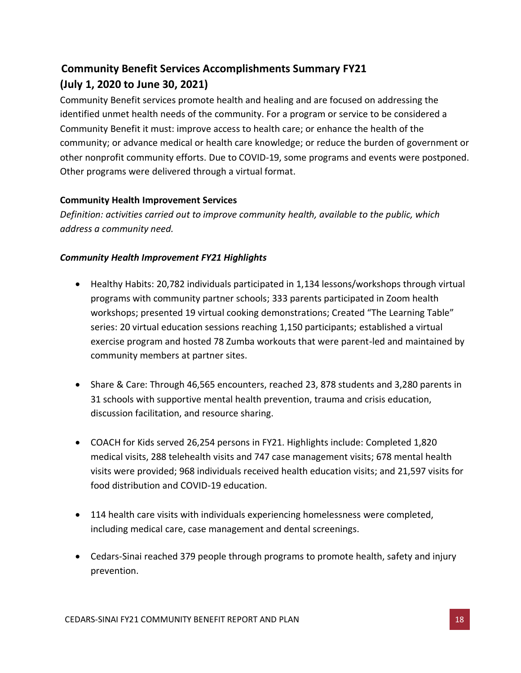# <span id="page-18-0"></span>**Community Benefit Services Accomplishments Summary FY21 (July 1, 2020 to June 30, 2021)**

Community Benefit services promote health and healing and are focused on addressing the identified unmet health needs of the community. For a program or service to be considered a Community Benefit it must: improve access to health care; or enhance the health of the community; or advance medical or health care knowledge; or reduce the burden of government or other nonprofit community efforts. Due to COVID-19, some programs and events were postponed. Other programs were delivered through a virtual format.

# **Community Health Improvement Services**

*Definition: activities carried out to improve community health, available to the public, which address a community need.* 

# *Community Health Improvement FY21 Highlights*

- Healthy Habits: 20,782 individuals participated in 1,134 lessons/workshops through virtual programs with community partner schools; 333 parents participated in Zoom health workshops; presented 19 virtual cooking demonstrations; Created "The Learning Table" series: 20 virtual education sessions reaching 1,150 participants; established a virtual exercise program and hosted 78 Zumba workouts that were parent-led and maintained by community members at partner sites.
- Share & Care: Through 46,565 encounters, reached 23, 878 students and 3,280 parents in 31 schools with supportive mental health prevention, trauma and crisis education, discussion facilitation, and resource sharing.
- COACH for Kids served 26,254 persons in FY21. Highlights include: Completed 1,820 medical visits, 288 telehealth visits and 747 case management visits; 678 mental health visits were provided; 968 individuals received health education visits; and 21,597 visits for food distribution and COVID-19 education.
- 114 health care visits with individuals experiencing homelessness were completed, including medical care, case management and dental screenings.
- Cedars-Sinai reached 379 people through programs to promote health, safety and injury prevention.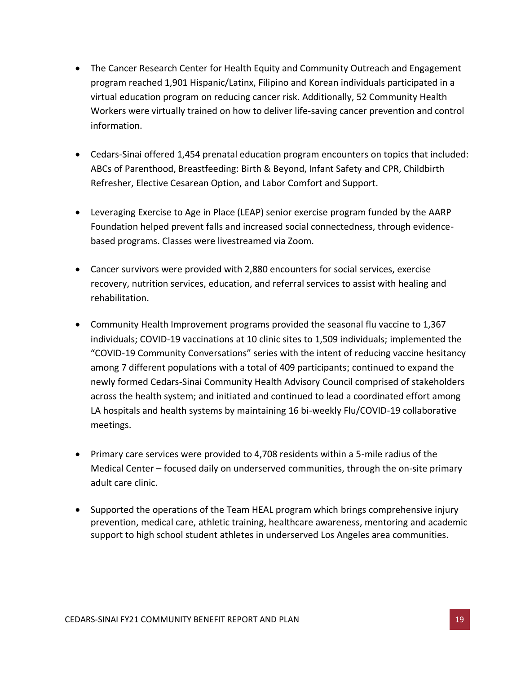- The Cancer Research Center for Health Equity and Community Outreach and Engagement program reached 1,901 Hispanic/Latinx, Filipino and Korean individuals participated in a virtual education program on reducing cancer risk. Additionally, 52 Community Health Workers were virtually trained on how to deliver life-saving cancer prevention and control information.
- Cedars-Sinai offered 1,454 prenatal education program encounters on topics that included: ABCs of Parenthood, Breastfeeding: Birth & Beyond, Infant Safety and CPR, Childbirth Refresher, Elective Cesarean Option, and Labor Comfort and Support.
- Leveraging Exercise to Age in Place (LEAP) senior exercise program funded by the AARP Foundation helped prevent falls and increased social connectedness, through evidencebased programs. Classes were livestreamed via Zoom.
- Cancer survivors were provided with 2,880 encounters for social services, exercise recovery, nutrition services, education, and referral services to assist with healing and rehabilitation.
- Community Health Improvement programs provided the seasonal flu vaccine to 1,367 individuals; COVID-19 vaccinations at 10 clinic sites to 1,509 individuals; implemented the "COVID-19 Community Conversations" series with the intent of reducing vaccine hesitancy among 7 different populations with a total of 409 participants; continued to expand the newly formed Cedars-Sinai Community Health Advisory Council comprised of stakeholders across the health system; and initiated and continued to lead a coordinated effort among LA hospitals and health systems by maintaining 16 bi-weekly Flu/COVID-19 collaborative meetings.
- Primary care services were provided to 4,708 residents within a 5-mile radius of the Medical Center – focused daily on underserved communities, through the on-site primary adult care clinic.
- Supported the operations of the Team HEAL program which brings comprehensive injury prevention, medical care, athletic training, healthcare awareness, mentoring and academic support to high school student athletes in underserved Los Angeles area communities.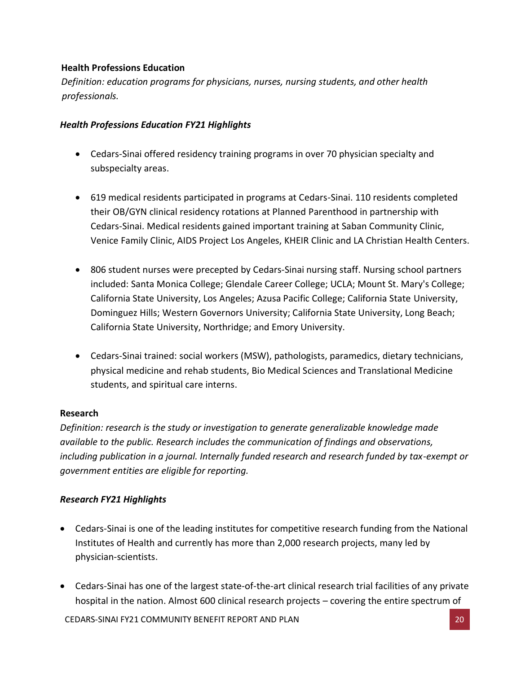# **Health Professions Education**

*Definition: education programs for physicians, nurses, nursing students, and other health professionals.*

# *Health Professions Education FY21 Highlights*

- Cedars-Sinai offered residency training programs in over 70 physician specialty and subspecialty areas.
- 619 medical residents participated in programs at Cedars-Sinai. 110 residents completed their OB/GYN clinical residency rotations at Planned Parenthood in partnership with Cedars-Sinai. Medical residents gained important training at Saban Community Clinic, Venice Family Clinic, AIDS Project Los Angeles, KHEIR Clinic and LA Christian Health Centers.
- 806 student nurses were precepted by Cedars-Sinai nursing staff. Nursing school partners included: Santa Monica College; Glendale Career College; UCLA; Mount St. Mary's College; California State University, Los Angeles; Azusa Pacific College; California State University, Dominguez Hills; Western Governors University; California State University, Long Beach; California State University, Northridge; and Emory University.
- Cedars-Sinai trained: social workers (MSW), pathologists, paramedics, dietary technicians, physical medicine and rehab students, Bio Medical Sciences and Translational Medicine students, and spiritual care interns.

# **Research**

*Definition: research is the study or investigation to generate generalizable knowledge made available to the public. Research includes the communication of findings and observations, including publication in a journal. Internally funded research and research funded by tax-exempt or government entities are eligible for reporting.*

# *Research FY21 Highlights*

- Cedars-Sinai is one of the leading institutes for competitive research funding from the National Institutes of Health and currently has more than 2,000 research projects, many led by physician-scientists.
- Cedars-Sinai has one of the largest state-of-the-art clinical research trial facilities of any private hospital in the nation. Almost 600 clinical research projects – covering the entire spectrum of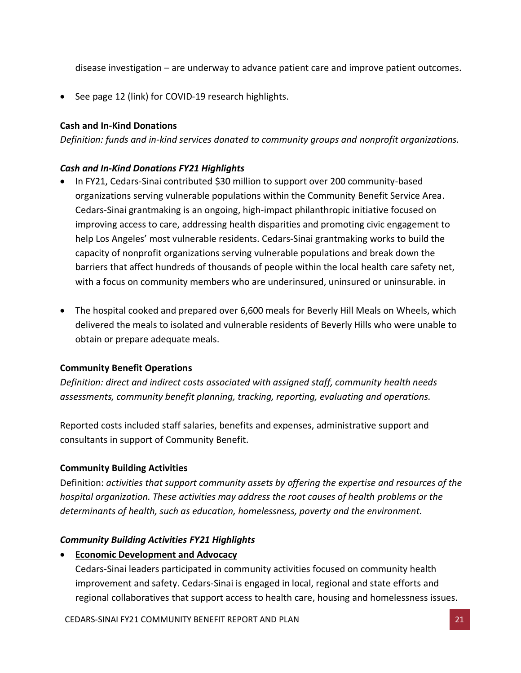disease investigation – are underway to advance patient care and improve patient outcomes.

• See page 12 (link) for COVID-19 research highlights.

# **Cash and In-Kind Donations**

*Definition: funds and in-kind services donated to community groups and nonprofit organizations.*

# *Cash and In-Kind Donations FY21 Highlights*

- In FY21, Cedars-Sinai contributed \$30 million to support over 200 community-based organizations serving vulnerable populations within the Community Benefit Service Area. Cedars-Sinai grantmaking is an ongoing, high-impact philanthropic initiative focused on improving access to care, addressing health disparities and promoting civic engagement to help Los Angeles' most vulnerable residents. Cedars-Sinai grantmaking works to build the capacity of nonprofit organizations serving vulnerable populations and break down the barriers that affect hundreds of thousands of people within the local health care safety net, with a focus on community members who are underinsured, uninsured or uninsurable. in
- The hospital cooked and prepared over 6,600 meals for Beverly Hill Meals on Wheels, which delivered the meals to isolated and vulnerable residents of Beverly Hills who were unable to obtain or prepare adequate meals.

# **Community Benefit Operations**

*Definition: direct and indirect costs associated with assigned staff, community health needs assessments, community benefit planning, tracking, reporting, evaluating and operations.* 

Reported costs included staff salaries, benefits and expenses, administrative support and consultants in support of Community Benefit.

# **Community Building Activities**

Definition: *activities that support community assets by offering the expertise and resources of the hospital organization. These activities may address the root causes of health problems or the determinants of health, such as education, homelessness, poverty and the environment.*

# *Community Building Activities FY21 Highlights*

• **Economic Development and Advocacy**

Cedars-Sinai leaders participated in community activities focused on community health improvement and safety. Cedars-Sinai is engaged in local, regional and state efforts and regional collaboratives that support access to health care, housing and homelessness issues.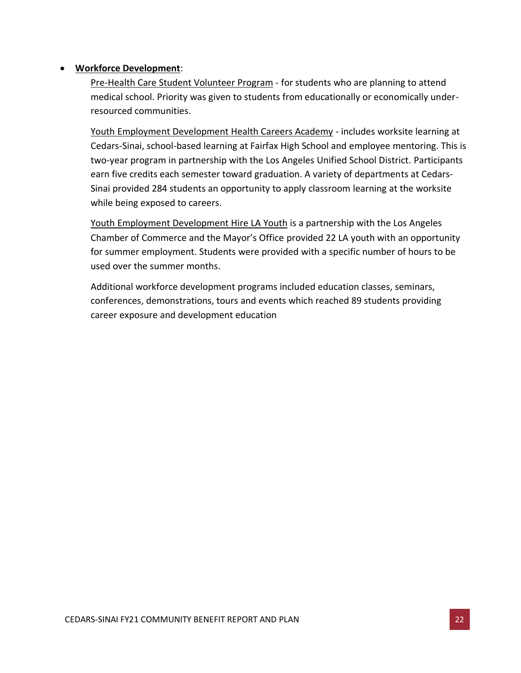## • **Workforce Development**:

Pre-Health Care Student Volunteer Program - for students who are planning to attend medical school. Priority was given to students from educationally or economically underresourced communities.

Youth Employment Development Health Careers Academy - includes worksite learning at Cedars-Sinai, school-based learning at Fairfax High School and employee mentoring. This is two-year program in partnership with the Los Angeles Unified School District. Participants earn five credits each semester toward graduation. A variety of departments at Cedars-Sinai provided 284 students an opportunity to apply classroom learning at the worksite while being exposed to careers.

Youth Employment Development Hire LA Youth is a partnership with the Los Angeles Chamber of Commerce and the Mayor's Office provided 22 LA youth with an opportunity for summer employment. Students were provided with a specific number of hours to be used over the summer months.

Additional workforce development programs included education classes, seminars, conferences, demonstrations, tours and events which reached 89 students providing career exposure and development education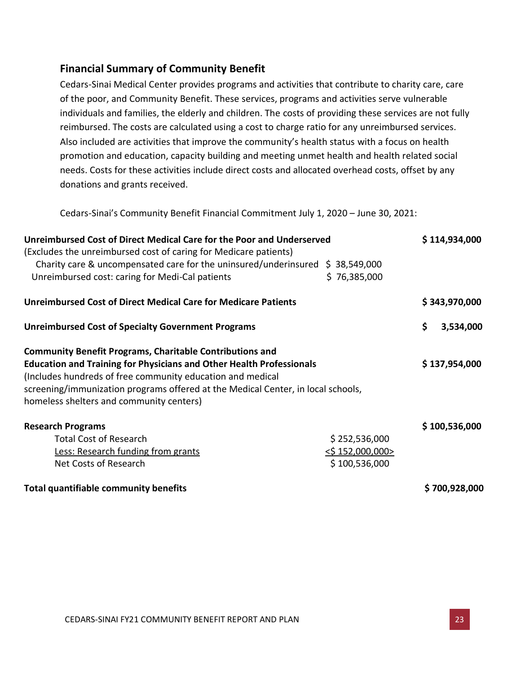# <span id="page-23-0"></span>**Financial Summary of Community Benefit**

Cedars-Sinai Medical Center provides programs and activities that contribute to charity care, care of the poor, and Community Benefit. These services, programs and activities serve vulnerable individuals and families, the elderly and children. The costs of providing these services are not fully reimbursed. The costs are calculated using a cost to charge ratio for any unreimbursed services. Also included are activities that improve the community's health status with a focus on health promotion and education, capacity building and meeting unmet health and health related social needs. Costs for these activities include direct costs and allocated overhead costs, offset by any donations and grants received.

Cedars-Sinai's Community Benefit Financial Commitment July 1, 2020 – June 30, 2021:

| Unreimbursed Cost of Direct Medical Care for the Poor and Underserved<br>(Excludes the unreimbursed cost of caring for Medicare patients)                                                                                                                                                                                                    |                                                       |    | \$114,934,000 |
|----------------------------------------------------------------------------------------------------------------------------------------------------------------------------------------------------------------------------------------------------------------------------------------------------------------------------------------------|-------------------------------------------------------|----|---------------|
| Charity care & uncompensated care for the uninsured/underinsured $\;$ \$ 38,549,000<br>Unreimbursed cost: caring for Medi-Cal patients                                                                                                                                                                                                       | \$76,385,000                                          |    |               |
| <b>Unreimbursed Cost of Direct Medical Care for Medicare Patients</b>                                                                                                                                                                                                                                                                        |                                                       |    | \$343,970,000 |
| <b>Unreimbursed Cost of Specialty Government Programs</b>                                                                                                                                                                                                                                                                                    |                                                       | \$ | 3,534,000     |
| <b>Community Benefit Programs, Charitable Contributions and</b><br><b>Education and Training for Physicians and Other Health Professionals</b><br>(Includes hundreds of free community education and medical<br>screening/immunization programs offered at the Medical Center, in local schools,<br>homeless shelters and community centers) |                                                       |    | \$137,954,000 |
| <b>Research Programs</b><br><b>Total Cost of Research</b><br>Less: Research funding from grants<br>Net Costs of Research                                                                                                                                                                                                                     | \$252,536,000<br>$<$ \$ 152,000,000><br>\$100,536,000 |    | \$100,536,000 |
| Total quantifiable community benefits                                                                                                                                                                                                                                                                                                        |                                                       |    | \$700,928,000 |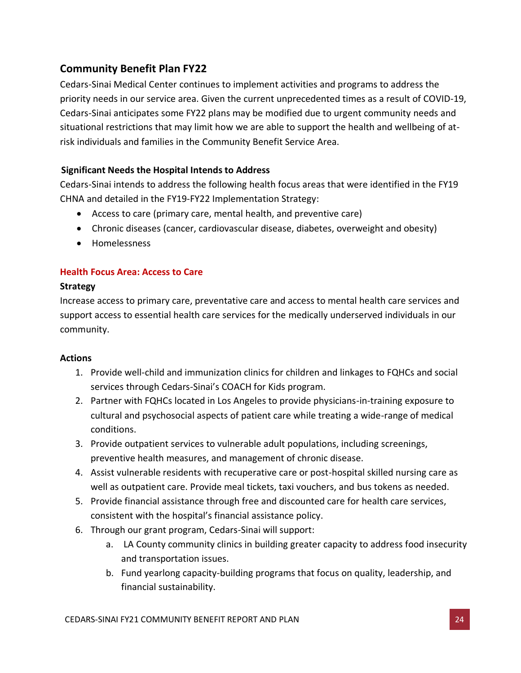# <span id="page-24-0"></span>**Community Benefit Plan FY22**

Cedars-Sinai Medical Center continues to implement activities and programs to address the priority needs in our service area. Given the current unprecedented times as a result of COVID-19, Cedars-Sinai anticipates some FY22 plans may be modified due to urgent community needs and situational restrictions that may limit how we are able to support the health and wellbeing of atrisk individuals and families in the Community Benefit Service Area.

# <span id="page-24-1"></span>**Significant Needs the Hospital Intends to Address**

Cedars-Sinai intends to address the following health focus areas that were identified in the FY19 CHNA and detailed in the FY19-FY22 Implementation Strategy:

- Access to care (primary care, mental health, and preventive care)
- Chronic diseases (cancer, cardiovascular disease, diabetes, overweight and obesity)
- Homelessness

# **Health Focus Area: Access to Care**

# **Strategy**

Increase access to primary care, preventative care and access to mental health care services and support access to essential health care services for the medically underserved individuals in our community.

# **Actions**

- 1. Provide well-child and immunization clinics for children and linkages to FQHCs and social services through Cedars-Sinai's COACH for Kids program.
- 2. Partner with FQHCs located in Los Angeles to provide physicians-in-training exposure to cultural and psychosocial aspects of patient care while treating a wide-range of medical conditions.
- 3. Provide outpatient services to vulnerable adult populations, including screenings, preventive health measures, and management of chronic disease.
- 4. Assist vulnerable residents with recuperative care or post-hospital skilled nursing care as well as outpatient care. Provide meal tickets, taxi vouchers, and bus tokens as needed.
- 5. Provide financial assistance through free and discounted care for health care services, consistent with the hospital's financial assistance policy.
- 6. Through our grant program, Cedars-Sinai will support:
	- a. LA County community clinics in building greater capacity to address food insecurity and transportation issues.
	- b. Fund yearlong capacity-building programs that focus on quality, leadership, and financial sustainability.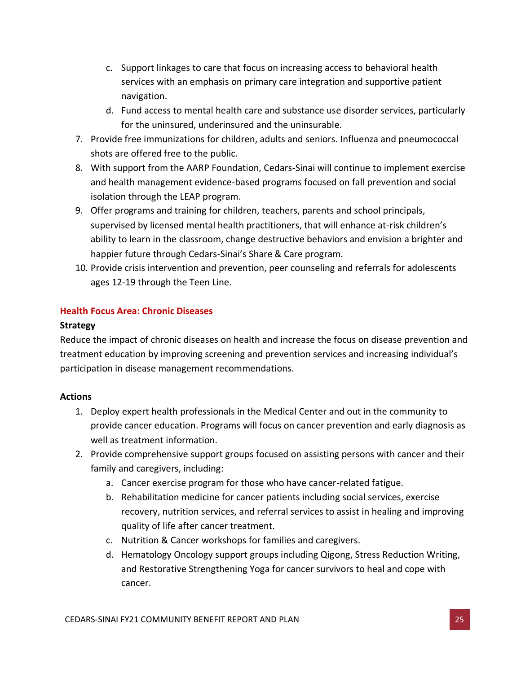- c. Support linkages to care that focus on increasing access to behavioral health services with an emphasis on primary care integration and supportive patient navigation.
- d. Fund access to mental health care and substance use disorder services, particularly for the uninsured, underinsured and the uninsurable.
- 7. Provide free immunizations for children, adults and seniors. Influenza and pneumococcal shots are offered free to the public.
- 8. With support from the AARP Foundation, Cedars-Sinai will continue to implement exercise and health management evidence-based programs focused on fall prevention and social isolation through the LEAP program.
- 9. Offer programs and training for children, teachers, parents and school principals, supervised by licensed mental health practitioners, that will enhance at-risk children's ability to learn in the classroom, change destructive behaviors and envision a brighter and happier future through Cedars-Sinai's Share & Care program.
- 10. Provide crisis intervention and prevention, peer counseling and referrals for adolescents ages 12-19 through the Teen Line.

# **Health Focus Area: Chronic Diseases**

## **Strategy**

Reduce the impact of chronic diseases on health and increase the focus on disease prevention and treatment education by improving screening and prevention services and increasing individual's participation in disease management recommendations.

# **Actions**

- 1. Deploy expert health professionals in the Medical Center and out in the community to provide cancer education. Programs will focus on cancer prevention and early diagnosis as well as treatment information.
- 2. Provide comprehensive support groups focused on assisting persons with cancer and their family and caregivers, including:
	- a. Cancer exercise program for those who have cancer-related fatigue.
	- b. Rehabilitation medicine for cancer patients including social services, exercise recovery, nutrition services, and referral services to assist in healing and improving quality of life after cancer treatment.
	- c. Nutrition & Cancer workshops for families and caregivers.
	- d. Hematology Oncology support groups including Qigong, Stress Reduction Writing, and Restorative Strengthening Yoga for cancer survivors to heal and cope with cancer.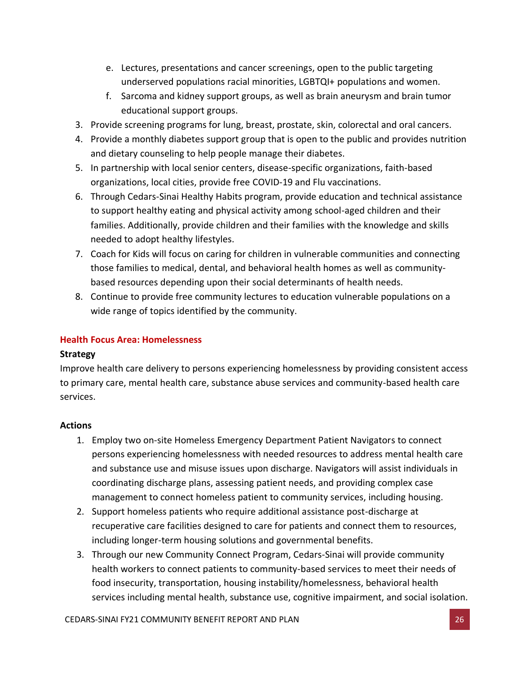- e. Lectures, presentations and cancer screenings, open to the public targeting underserved populations racial minorities, LGBTQI+ populations and women.
- f. Sarcoma and kidney support groups, as well as brain aneurysm and brain tumor educational support groups.
- 3. Provide screening programs for lung, breast, prostate, skin, colorectal and oral cancers.
- 4. Provide a monthly diabetes support group that is open to the public and provides nutrition and dietary counseling to help people manage their diabetes.
- 5. In partnership with local senior centers, disease-specific organizations, faith-based organizations, local cities, provide free COVID-19 and Flu vaccinations.
- 6. Through Cedars-Sinai Healthy Habits program, provide education and technical assistance to support healthy eating and physical activity among school-aged children and their families. Additionally, provide children and their families with the knowledge and skills needed to adopt healthy lifestyles.
- 7. Coach for Kids will focus on caring for children in vulnerable communities and connecting those families to medical, dental, and behavioral health homes as well as communitybased resources depending upon their social determinants of health needs.
- 8. Continue to provide free community lectures to education vulnerable populations on a wide range of topics identified by the community.

# **Health Focus Area: Homelessness**

# **Strategy**

Improve health care delivery to persons experiencing homelessness by providing consistent access to primary care, mental health care, substance abuse services and community-based health care services.

# **Actions**

- 1. Employ two on-site Homeless Emergency Department Patient Navigators to connect persons experiencing homelessness with needed resources to address mental health care and substance use and misuse issues upon discharge. Navigators will assist individuals in coordinating discharge plans, assessing patient needs, and providing complex case management to connect homeless patient to community services, including housing.
- 2. Support homeless patients who require additional assistance post-discharge at recuperative care facilities designed to care for patients and connect them to resources, including longer-term housing solutions and governmental benefits.
- 3. Through our new Community Connect Program, Cedars-Sinai will provide community health workers to connect patients to community-based services to meet their needs of food insecurity, transportation, housing instability/homelessness, behavioral health services including mental health, substance use, cognitive impairment, and social isolation.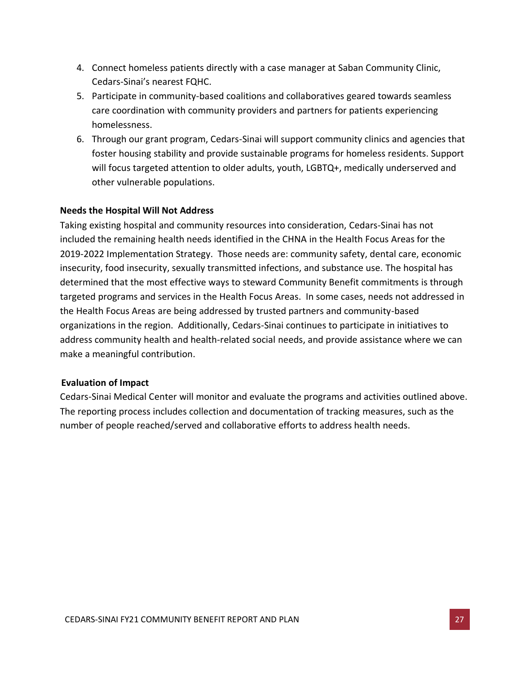- 4. Connect homeless patients directly with a case manager at Saban Community Clinic, Cedars-Sinai's nearest FQHC.
- 5. Participate in community-based coalitions and collaboratives geared towards seamless care coordination with community providers and partners for patients experiencing homelessness.
- 6. Through our grant program, Cedars-Sinai will support community clinics and agencies that foster housing stability and provide sustainable programs for homeless residents. Support will focus targeted attention to older adults, youth, LGBTQ+, medically underserved and other vulnerable populations.

## <span id="page-27-0"></span>**Needs the Hospital Will Not Address**

Taking existing hospital and community resources into consideration, Cedars-Sinai has not included the remaining health needs identified in the CHNA in the Health Focus Areas for the 2019-2022 Implementation Strategy. Those needs are: community safety, dental care, economic insecurity, food insecurity, sexually transmitted infections, and substance use. The hospital has determined that the most effective ways to steward Community Benefit commitments is through targeted programs and services in the Health Focus Areas. In some cases, needs not addressed in the Health Focus Areas are being addressed by trusted partners and community-based organizations in the region. Additionally, Cedars-Sinai continues to participate in initiatives to address community health and health-related social needs, and provide assistance where we can make a meaningful contribution.

### <span id="page-27-1"></span>**Evaluation of Impact**

Cedars-Sinai Medical Center will monitor and evaluate the programs and activities outlined above. The reporting process includes collection and documentation of tracking measures, such as the number of people reached/served and collaborative efforts to address health needs.